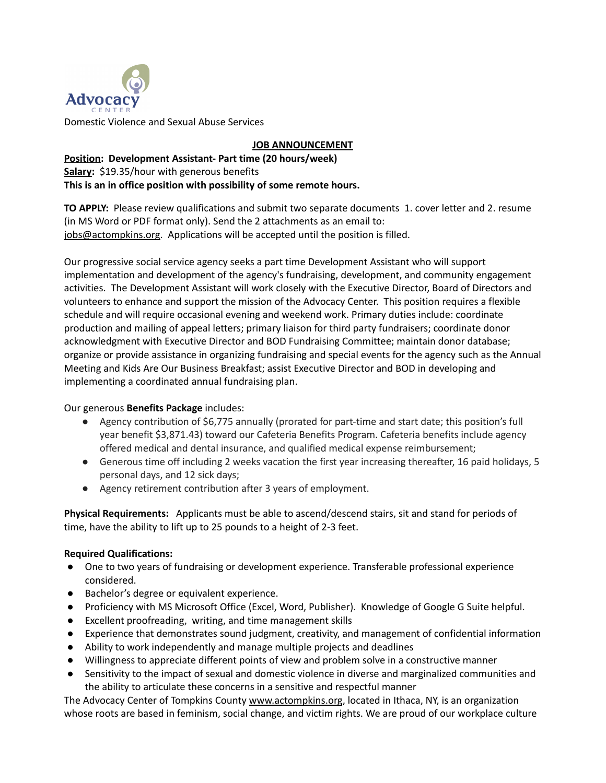

## **JOB ANNOUNCEMENT**

## **Position: Development Assistant- Part time (20 hours/week) Salary:** \$19.35/hour with generous benefits **This is an in office position with possibility of some remote hours.**

**TO APPLY:** Please review qualifications and submit two separate documents 1. cover letter and 2. resume (in MS Word or PDF format only). Send the 2 attachments as an email to: [jobs@actompkins.org.](mailto:jobs@theadvocacycenter.org) Applications will be accepted until the position is filled.

Our progressive social service agency seeks a part time Development Assistant who will support implementation and development of the agency's fundraising, development, and community engagement activities. The Development Assistant will work closely with the Executive Director, Board of Directors and volunteers to enhance and support the mission of the Advocacy Center. This position requires a flexible schedule and will require occasional evening and weekend work. Primary duties include: coordinate production and mailing of appeal letters; primary liaison for third party fundraisers; coordinate donor acknowledgment with Executive Director and BOD Fundraising Committee; maintain donor database; organize or provide assistance in organizing fundraising and special events for the agency such as the Annual Meeting and Kids Are Our Business Breakfast; assist Executive Director and BOD in developing and implementing a coordinated annual fundraising plan.

## Our generous **Benefits Package** includes:

- Agency contribution of \$6,775 annually (prorated for part-time and start date; this position's full year benefit \$3,871.43) toward our Cafeteria Benefits Program. Cafeteria benefits include agency offered medical and dental insurance, and qualified medical expense reimbursement;
- Generous time off including 2 weeks vacation the first year increasing thereafter, 16 paid holidays, 5 personal days, and 12 sick days;
- Agency retirement contribution after 3 years of employment.

**Physical Requirements:** Applicants must be able to ascend/descend stairs, sit and stand for periods of time, have the ability to lift up to 25 pounds to a height of 2-3 feet.

## **Required Qualifications:**

- One to two years of fundraising or development experience. Transferable professional experience considered.
- Bachelor's degree or equivalent experience.
- Proficiency with MS Microsoft Office (Excel, Word, Publisher). Knowledge of Google G Suite helpful.
- Excellent proofreading, writing, and time management skills
- Experience that demonstrates sound judgment, creativity, and management of confidential information
- Ability to work independently and manage multiple projects and deadlines
- Willingness to appreciate different points of view and problem solve in a constructive manner
- Sensitivity to the impact of sexual and domestic violence in diverse and marginalized communities and the ability to articulate these concerns in a sensitive and respectful manner

The Advocacy Center of Tompkins County [www.actompkins.org](http://www.theadvocacycenter.org), located in Ithaca, NY, is an organization whose roots are based in feminism, social change, and victim rights. We are proud of our workplace culture